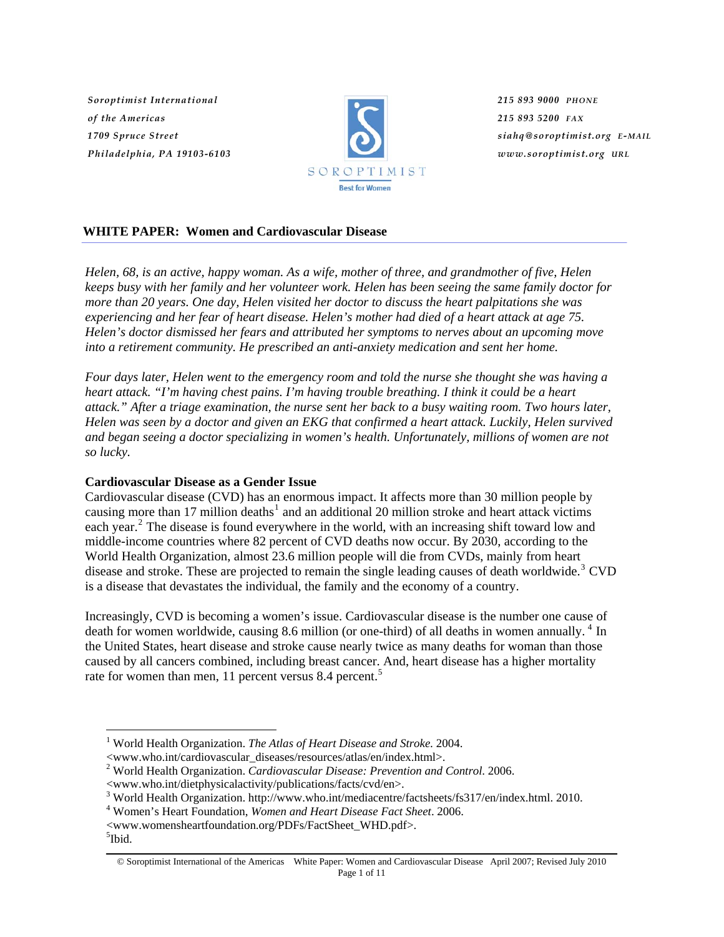*Soroptimist International of the Americas 1709 Spruce Street Philadelphia, PA 19103-6103*



*215 893 9000 PHONE 215 893 5200 FAX siahq@soroptimist.org E-MAIL www.soroptimist.org URL*

## **WHITE PAPER: Women and Cardiovascular Disease**

*Helen, 68, is an active, happy woman. As a wife, mother of three, and grandmother of five, Helen keeps busy with her family and her volunteer work. Helen has been seeing the same family doctor for more than 20 years. One day, Helen visited her doctor to discuss the heart palpitations she was experiencing and her fear of heart disease. Helen's mother had died of a heart attack at age 75. Helen's doctor dismissed her fears and attributed her symptoms to nerves about an upcoming move into a retirement community. He prescribed an anti-anxiety medication and sent her home.* 

*Four days later, Helen went to the emergency room and told the nurse she thought she was having a heart attack. "I'm having chest pains. I'm having trouble breathing. I think it could be a heart attack." After a triage examination, the nurse sent her back to a busy waiting room. Two hours later, Helen was seen by a doctor and given an EKG that confirmed a heart attack. Luckily, Helen survived and began seeing a doctor specializing in women's health. Unfortunately, millions of women are not so lucky.* 

## **Cardiovascular Disease as a Gender Issue**

Cardiovascular disease (CVD) has an enormous impact. It affects more than 30 million people by causing more than [1](#page-0-0)7 million deaths<sup>1</sup> and an additional 20 million stroke and heart attack victims each year.<sup>[2](#page-0-1)</sup> The disease is found everywhere in the world, with an increasing shift toward low and middle-income countries where 82 percent of CVD deaths now occur. By 2030, according to the World Health Organization, almost 23.6 million people will die from CVDs, mainly from heart disease and stroke. These are projected to remain the single leading causes of death worldwide.<sup>[3](#page-0-2)</sup> CVD is a disease that devastates the individual, the family and the economy of a country.

Increasingly, CVD is becoming a women's issue. Cardiovascular disease is the number one cause of death for women worldwide, causing 8.6 million (or one-third) of all deaths in women annually.<sup>[4](#page-0-3)</sup> In the United States, heart disease and stroke cause nearly twice as many deaths for woman than those caused by all cancers combined, including breast cancer. And, heart disease has a higher mortality rate for women than men, 11 percent versus 8.4 percent.<sup>[5](#page-0-4)</sup>

- 1 World Health Organization. *The Atlas of Heart Disease and Stroke.* 2004.
- <span id="page-0-1"></span><span id="page-0-0"></span><www.who.int/cardiovascular\_diseases/resources/atlas/en/index.html>.
- 2 World Health Organization. *Cardiovascular Disease: Prevention and Control*. 2006.

- <span id="page-0-3"></span><span id="page-0-2"></span>Women's Heart Foundation, *Women and Heart Disease Fact Sheet*. 2006.
- <span id="page-0-4"></span><www.womensheartfoundation.org/PDFs/FactSheet\_WHD.pdf>. 5 <sup>5</sup>Ibid.

<sup>&</sup>lt;www.who.int/dietphysicalactivity/publications/facts/cvd/en>.

<sup>&</sup>lt;sup>3</sup> World Health Organization. http://www.who.int/mediacentre/factsheets/fs317/en/index.html. 2010.

<sup>©</sup> Soroptimist International of the Americas White Paper: Women and Cardiovascular Disease April 2007; Revised July 2010 Page 1 of 11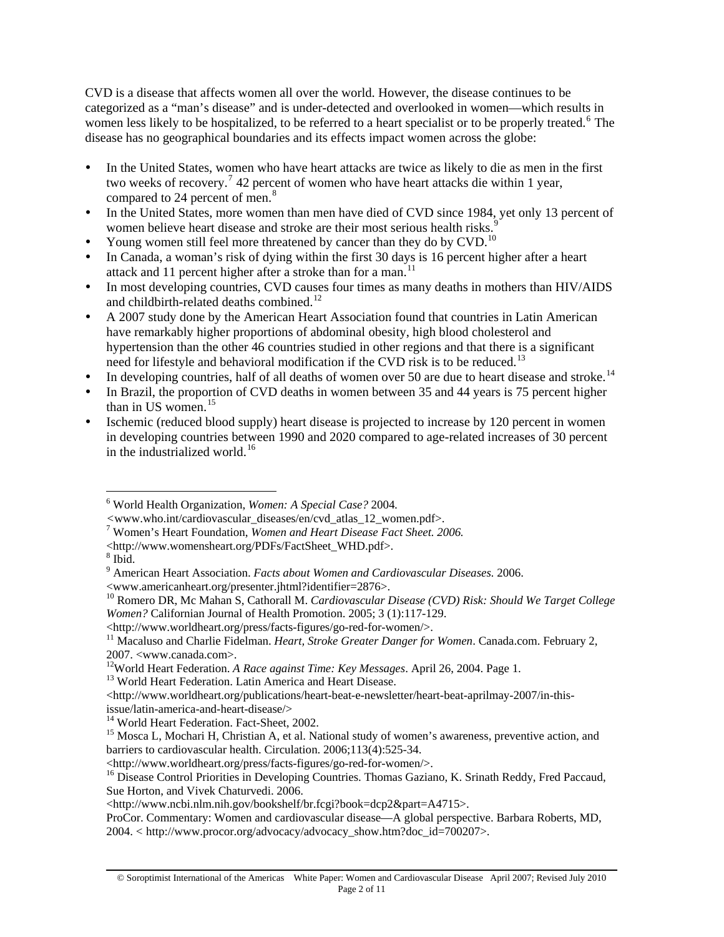CVD is a disease that affects women all over the world. However, the disease continues to be categorized as a "man's disease" and is under-detected and overlooked in women—which results in women less likely to be hospitalized, to be referred to a heart specialist or to be properly treated.<sup>[6](#page-1-0)</sup> The disease has no geographical boundaries and its effects impact women across the globe:

- In the United States, women who have heart attacks are twice as likely to die as men in the first two weeks of recovery.<sup>[7](#page-1-1)</sup> 42 percent of women who have heart attacks die within 1 year, compared to 24 percent of men.<sup>8</sup>
- In the United States, more women than men have died of CVD since 1984, yet only 13 percent of women believe heart disease and stroke are their most serious health risks.<sup>[9](#page-1-2)</sup>
- Young women still feel more threatened by cancer than they do by CVD.<sup>[10](#page-1-3)</sup>
- In Canada, a woman's risk of dying within the first 30 days is 16 percent higher after a heart attack and [11](#page-1-4) percent higher after a stroke than for a man.<sup>11</sup>
- In most developing countries, CVD causes four times as many deaths in mothers than HIV/AIDS and childbirth-related deaths combined.<sup>[12](#page-1-5)</sup>
- A 2007 study done by the American Heart Association found that countries in Latin American have remarkably higher proportions of abdominal obesity, high blood cholesterol and hypertension than the other 46 countries studied in other regions and that there is a significant need for lifestyle and behavioral modification if the CVD risk is to be reduced.<sup>[13](#page-1-6)</sup>
- In developing countries, half of all deaths of women over 50 are due to heart disease and stroke.<sup>[14](#page-1-7)</sup>
- In Brazil, the proportion of CVD deaths in women between 35 and 44 years is 75 percent higher than in US women.<sup>[15](#page-1-8)</sup>
- y Ischemic (reduced blood supply) heart disease is projected to increase by 120 percent in women in developing countries between 1990 and 2020 compared to age-related increases of 30 percent in the industrialized world.<sup>[16](#page-1-9)</sup>

<span id="page-1-2"></span> $8$  Ibid.

 $\overline{a}$ 

<www.americanheart.org/presenter.jhtml?identifier=2876>.

- 
- <span id="page-1-6"></span><http://www.worldheart.org/publications/heart-beat-e-newsletter/heart-beat-aprilmay-2007/in-thisissue/latin-america-and-heart-disease/>
- <sup>14</sup> World Heart Federation. Fact-Sheet, 2002.

<http://www.worldheart.org/press/facts-figures/go-red-for-women/>.

ProCor. Commentary: Women and cardiovascular disease—A global perspective. Barbara Roberts, MD, 2004. < http://www.procor.org/advocacy/advocacy\_show.htm?doc\_id=700207>.

<span id="page-1-0"></span><sup>6</sup> World Health Organization, *Women: A Special Case?* 2004*.* 

*<sup>&</sup>lt;*www.who.int/cardiovascular\_diseases/en/cvd\_atlas\_12\_women.pdf>. 7 Women's Heart Foundation, *Women and Heart Disease Fact Sheet. 2006.* 

<span id="page-1-1"></span><sup>&</sup>lt;http://www.womensheart.org/PDFs/FactSheet\_WHD.pdf>. 8

<sup>9</sup> American Heart Association. *Facts about Women and Cardiovascular Diseases.* 2006.

<span id="page-1-3"></span><sup>10</sup> Romero DR, Mc Mahan S, Cathorall M. *Cardiovascular Disease (CVD) Risk: Should We Target College Women?* Californian Journal of Health Promotion. 2005; 3 (1):117-129.

<span id="page-1-4"></span><sup>&</sup>lt;http://www.worldheart.org/press/facts-figures/go-red-for-women/>. 11 Macaluso and Charlie Fidelman. *Heart, Stroke Greater Danger for Women*. Canada.com. February 2, 2007. <www.canada.com>.

<span id="page-1-5"></span><sup>&</sup>lt;sup>12</sup>World Heart Federation. *A Race against Time: Key Messages*. April 26, 2004. Page 1.<br><sup>13</sup> World Heart Federation. Latin America and Heart Disease.

<span id="page-1-8"></span><span id="page-1-7"></span><sup>&</sup>lt;sup>15</sup> Mosca L, Mochari H, Christian A, et al. National study of women's awareness, preventive action, and barriers to cardiovascular health. Circulation. 2006;113(4):525-34.

<span id="page-1-9"></span><sup>&</sup>lt;sup>16</sup> Disease Control Priorities in Developing Countries. Thomas Gaziano, K. Srinath Reddy, Fred Paccaud, Sue Horton, and Vivek Chaturvedi. 2006.

<sup>&</sup>lt;http://www.ncbi.nlm.nih.gov/bookshelf/br.fcgi?book=dcp2&part=A4715>.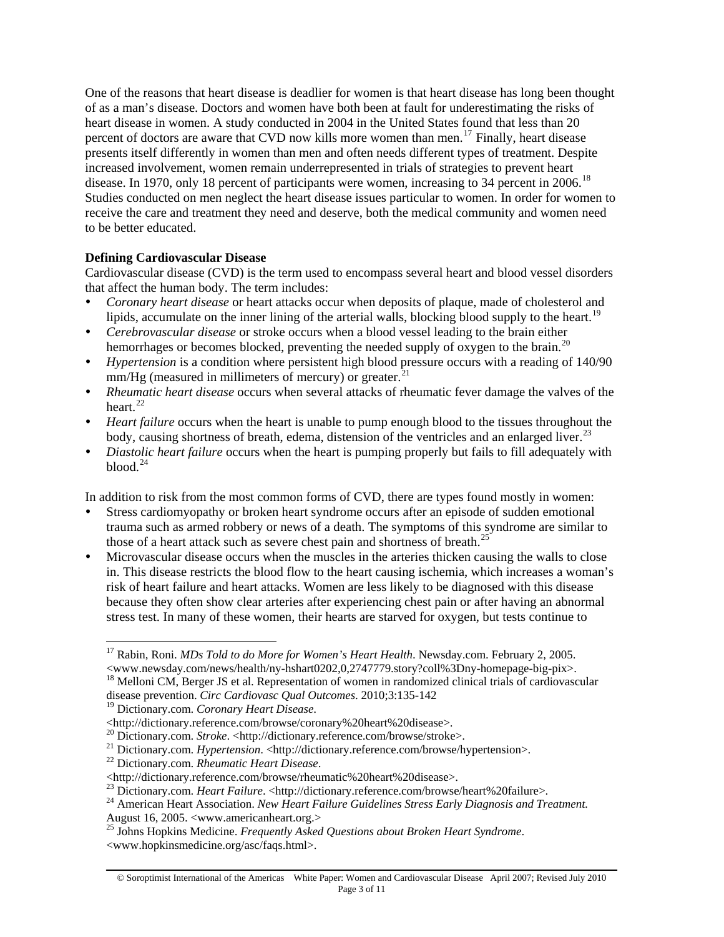One of the reasons that heart disease is deadlier for women is that heart disease has long been thought of as a man's disease. Doctors and women have both been at fault for underestimating the risks of heart disease in women. A study conducted in 2004 in the United States found that less than 20 percent of doctors are aware that CVD now kills more women than men.<sup>[17](#page-2-0)</sup> Finally, heart disease presents itself differently in women than men and often needs different types of treatment. Despite increased involvement, women remain underrepresented in trials of strategies to prevent heart disease. In 1970, only [18](#page-2-1) percent of participants were women, increasing to 34 percent in 2006.<sup>18</sup> Studies conducted on men neglect the heart disease issues particular to women. In order for women to receive the care and treatment they need and deserve, both the medical community and women need to be better educated.

## **Defining Cardiovascular Disease**

Cardiovascular disease (CVD) is the term used to encompass several heart and blood vessel disorders that affect the human body. The term includes:

- y *Coronary heart disease* or heart attacks occur when deposits of plaque, made of cholesterol and lipids, accumulate on the inner lining of the arterial walls, blocking blood supply to the heart.<sup>[19](#page-2-2)</sup>
- y *Cerebrovascular disease* or stroke occurs when a blood vessel leading to the brain either hemorrhages or becomes blocked, preventing the needed supply of oxygen to the brain.<sup>[20](#page-2-3)</sup>
- *Hypertension* is a condition where persistent high blood pressure occurs with a reading of 140/90  $mm/Hg$  (measured in millimeters of mercury) or greater.<sup>[21](#page-2-4)</sup>
- *Rheumatic heart disease* occurs when several attacks of rheumatic fever damage the valves of the heart. $^{22}$  $^{22}$  $^{22}$
- *Heart failure* occurs when the heart is unable to pump enough blood to the tissues throughout the body, causing shortness of breath, edema, distension of the ventricles and an enlarged liver.<sup>[23](#page-2-6)</sup>
- *Diastolic heart failure* occurs when the heart is pumping properly but fails to fill adequately with  $b$ lood. $24$

In addition to risk from the most common forms of CVD, there are types found mostly in women:

- Stress cardiomyopathy or broken heart syndrome occurs after an episode of sudden emotional trauma such as armed robbery or news of a death. The symptoms of this syndrome are similar to those of a heart attack such as severe chest pain and shortness of breath.<sup>[25](#page-2-8)</sup>
- Microvascular disease occurs when the muscles in the arteries thicken causing the walls to close in. This disease restricts the blood flow to the heart causing ischemia, which increases a woman's risk of heart failure and heart attacks. Women are less likely to be diagnosed with this disease because they often show clear arteries after experiencing chest pain or after having an abnormal stress test. In many of these women, their hearts are starved for oxygen, but tests continue to

<span id="page-2-0"></span> $\overline{a}$ 17 Rabin, Roni. *MDs Told to do More for Women's Heart Health*. Newsday.com. February 2, 2005. <www.newsday.com/news/health/ny-hshart0202,0,2747779.story?coll%3Dny-homepage-big-pix>. <sup>18</sup> Melloni CM, Berger JS et al. Representation of women in randomized clinical trials of cardiovascular disease prevention. *Circ Cardiovasc Qual Outcomes*. 2010;3:135-142

<span id="page-2-2"></span><span id="page-2-1"></span><sup>19</sup> Dictionary.com. *Coronary Heart Disease*.

<span id="page-2-4"></span><span id="page-2-3"></span>

<sup>&</sup>lt;http://dictionary.reference.com/browse/coronary%20heart%20disease>.<br>
<sup>20</sup> Dictionary.com. *Stroke*. <http://dictionary.reference.com/browse/stroke>.<br>
<sup>21</sup> Dictionary.com. *Hypertension*. <http://dictionary.reference.com/b

<span id="page-2-5"></span>

<span id="page-2-7"></span><span id="page-2-6"></span><sup>&</sup>lt;sup>23</sup> Dictionary.com. *Heart Failure.* <http://dictionary.reference.com/browse/heart%20failure>.<br><sup>24</sup> American Heart Association. *New Heart Failure Guidelines Stress Early Diagnosis and Treatment.* August 16, 2005. <www.americanheart.org.>

<span id="page-2-8"></span><sup>25</sup> Johns Hopkins Medicine. *Frequently Asked Questions about Broken Heart Syndrome*. <www.hopkinsmedicine.org/asc/faqs.html>.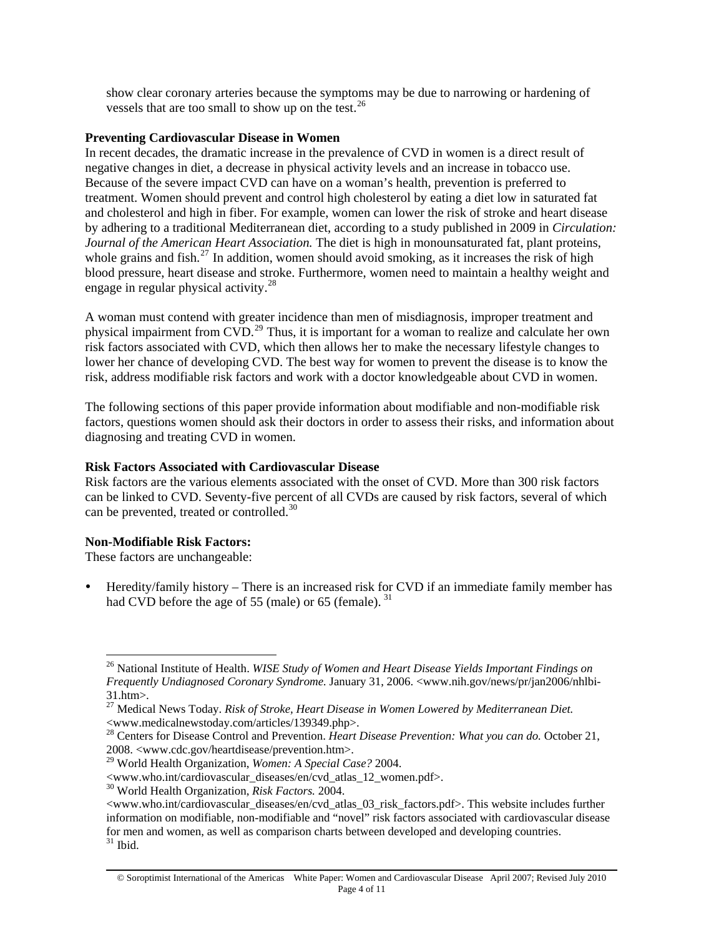show clear coronary arteries because the symptoms may be due to narrowing or hardening of vessels that are too small to show up on the test.<sup>26</sup>

### **Preventing Cardiovascular Disease in Women**

In recent decades, the dramatic increase in the prevalence of CVD in women is a direct result of negative changes in diet, a decrease in physical activity levels and an increase in tobacco use. Because of the severe impact CVD can have on a woman's health, prevention is preferred to treatment. Women should prevent and control high cholesterol by eating a diet low in saturated fat and cholesterol and high in fiber. For example, women can lower the risk of stroke and heart disease by adhering to a traditional Mediterranean diet, according to a study published in 2009 in *Circulation: Journal of the American Heart Association.* The diet is high in monounsaturated fat, plant proteins, whole grains and fish.<sup>[27](#page-3-0)</sup> In addition, women should avoid smoking, as it increases the risk of high blood pressure, heart disease and stroke. Furthermore, women need to maintain a healthy weight and engage in regular physical activity.<sup>[28](#page-3-1)</sup>

A woman must contend with greater incidence than men of misdiagnosis, improper treatment and physical impairment from CVD.<sup>[29](#page-3-2)</sup> Thus, it is important for a woman to realize and calculate her own risk factors associated with CVD, which then allows her to make the necessary lifestyle changes to lower her chance of developing CVD. The best way for women to prevent the disease is to know the risk, address modifiable risk factors and work with a doctor knowledgeable about CVD in women.

The following sections of this paper provide information about modifiable and non-modifiable risk factors, questions women should ask their doctors in order to assess their risks, and information about diagnosing and treating CVD in women.

### **Risk Factors Associated with Cardiovascular Disease**

Risk factors are the various elements associated with the onset of CVD. More than 300 risk factors can be linked to CVD. Seventy-five percent of all CVDs are caused by risk factors, several of which can be prevented, treated or controlled.<sup>[30](#page-3-3)</sup>

### **Non-Modifiable Risk Factors:**

These factors are unchangeable:

 $\overline{a}$ 

Heredity/family history – There is an increased risk for CVD if an immediate family member has had CVD before the age of 55 (male) or 65 (female).<sup>[31](#page-3-4)</sup>

<sup>26</sup> National Institute of Health. *WISE Study of Women and Heart Disease Yields Important Findings on Frequently Undiagnosed Coronary Syndrome.* January 31, 2006. <www.nih.gov/news/pr/jan2006/nhlbi-31.htm>.

<span id="page-3-0"></span><sup>27</sup> Medical News Today. *Risk of Stroke, Heart Disease in Women Lowered by Mediterranean Diet.* <www.medicalnewstoday.com/articles/139349.php>.

<span id="page-3-1"></span><sup>28</sup> Centers for Disease Control and Prevention. *Heart Disease Prevention: What you can do.* October 21, 2008. <www.cdc.gov/heartdisease/prevention.htm>.

<span id="page-3-2"></span><sup>29</sup> World Health Organization, *Women: A Special Case?* 2004.

<sup>&</sup>lt;www.who.int/cardiovascular\_diseases/en/cvd\_atlas\_12\_women.pdf>.

<span id="page-3-3"></span><sup>30</sup> World Health Organization, *Risk Factors.* 2004.

<span id="page-3-4"></span><sup>&</sup>lt;www.who.int/cardiovascular\_diseases/en/cvd\_atlas\_03\_risk\_factors.pdf>. This website includes further information on modifiable, non-modifiable and "novel" risk factors associated with cardiovascular disease for men and women, as well as comparison charts between developed and developing countries.  $31$  Ibid.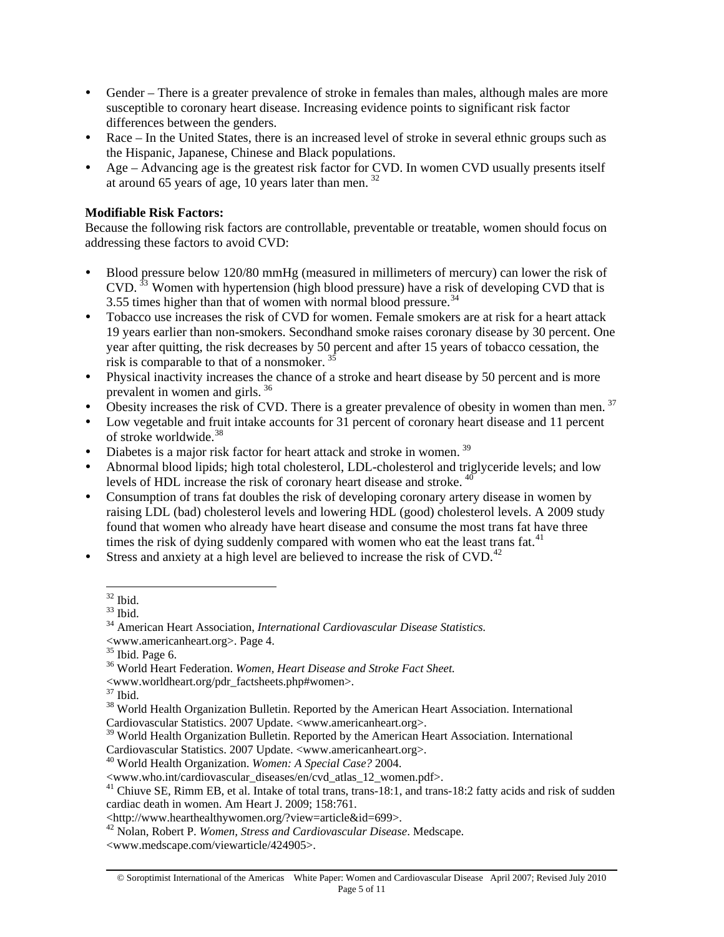- Gender There is a greater prevalence of stroke in females than males, although males are more susceptible to coronary heart disease. Increasing evidence points to significant risk factor differences between the genders.
- Race In the United States, there is an increased level of stroke in several ethnic groups such as the Hispanic, Japanese, Chinese and Black populations.
- Age Advancing age is the greatest risk factor for CVD. In women CVD usually presents itself at around 65 years of age, 10 years later than men. [32](#page-4-0)

## **Modifiable Risk Factors:**

Because the following risk factors are controllable, preventable or treatable, women should focus on addressing these factors to avoid CVD:

- Blood pressure below 120/80 mmHg (measured in millimeters of mercury) can lower the risk of  $CVD$ . <sup>[33](#page-4-1)</sup> Women with hypertension (high blood pressure) have a risk of developing CVD that is 3.55 times higher than that of women with normal blood pressure. $34$
- Tobacco use increases the risk of CVD for women. Female smokers are at risk for a heart attack 19 years earlier than non-smokers. Secondhand smoke raises coronary disease by 30 percent. One year after quitting, the risk decreases by 50 percent and after 15 years of tobacco cessation, the risk is comparable to that of a nonsmoker.  $3$
- Physical inactivity increases the chance of a stroke and heart disease by 50 percent and is more prevalent in women and girls. [36](#page-4-4)
- Obesity increases the risk of CVD. There is a greater prevalence of obesity in women than men.  $37$
- Low vegetable and fruit intake accounts for 31 percent of coronary heart disease and 11 percent of stroke worldwide.[38](#page-4-6)
- Diabetes is a major risk factor for heart attack and stroke in women.<sup>[39](#page-4-7)</sup>
- Abnormal blood lipids; high total cholesterol, LDL-cholesterol and triglyceride levels; and low levels of HDL increase the risk of coronary heart disease and stroke. [40](#page-4-8)
- Consumption of trans fat doubles the risk of developing coronary artery disease in women by raising LDL (bad) cholesterol levels and lowering HDL (good) cholesterol levels. A 2009 study found that women who already have heart disease and consume the most trans fat have three times the risk of dying suddenly compared with women who eat the least trans fat.<sup>[41](#page-4-9)</sup>
- <span id="page-4-1"></span><span id="page-4-0"></span>Stress and anxiety at a high level are believed to increase the risk of CVD.<sup>[42](#page-4-10)</sup>

 $\overline{a}$  $32$  Ibid.

 $33$  Ibid.

<span id="page-4-2"></span><sup>34</sup> American Heart Association, *International Cardiovascular Disease Statistics.* 

<span id="page-4-3"></span> $\leq$ www.americanheart.org>. Page 4.  $^{35}$  Ibid. Page 6.

<span id="page-4-4"></span><sup>36</sup> World Heart Federation. *Women, Heart Disease and Stroke Fact Sheet.*

 $\leq$ www.worldheart.org/pdr\_factsheets.php#women>. $^{37}$  Ibid.

<span id="page-4-5"></span>

<span id="page-4-6"></span><sup>&</sup>lt;sup>38</sup> World Health Organization Bulletin. Reported by the American Heart Association. International Cardiovascular Statistics. 2007 Update. <www.americanheart.org>.

<span id="page-4-7"></span><sup>&</sup>lt;sup>39</sup> World Health Organization Bulletin. Reported by the American Heart Association. International

<span id="page-4-8"></span>Cardiovascular Statistics. 2007 Update. <www.americanheart.org>. 40 World Health Organization. *Women: A Special Case?* 2004.

<sup>&</sup>lt;www.who.int/cardiovascular\_diseases/en/cvd\_atlas\_12\_women.pdf>.

<span id="page-4-9"></span><sup>&</sup>lt;sup>41</sup> Chiuve SE, Rimm EB, et al. Intake of total trans, trans-18:1, and trans-18:2 fatty acids and risk of sudden cardiac death in women. Am Heart J. 2009; 158:761.

<sup>&</sup>lt;http://www.hearthealthywomen.org/?view=article&id=699>.

<span id="page-4-10"></span><sup>42</sup> Nolan, Robert P. *Women, Stress and Cardiovascular Disease*. Medscape.

<sup>&</sup>lt;www.medscape.com/viewarticle/424905>.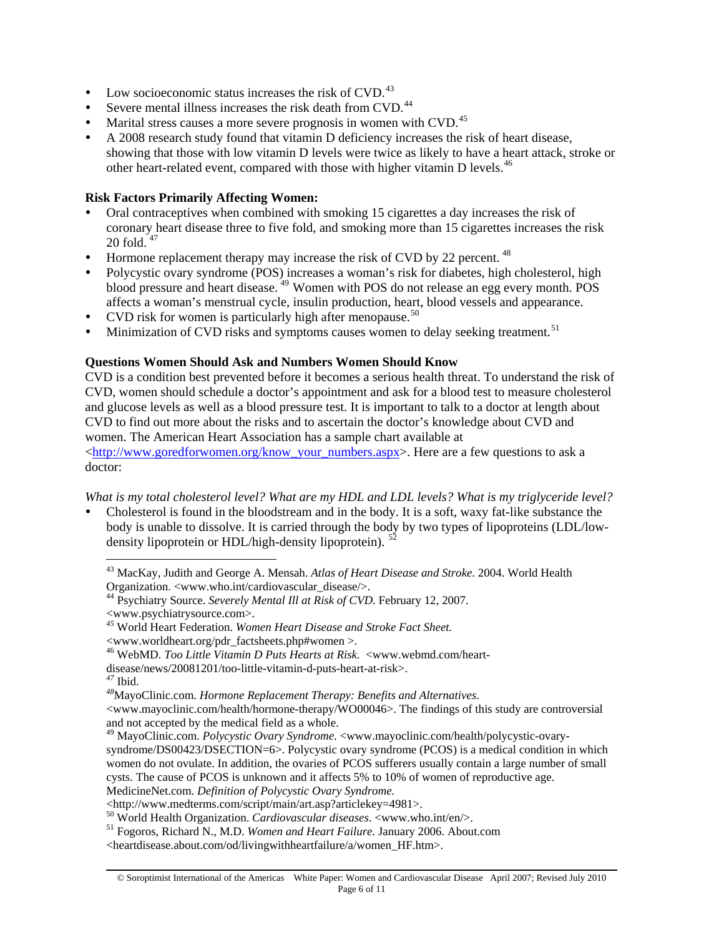- Low socioeconomic status increases the risk of CVD. $^{43}$  $^{43}$  $^{43}$
- Severe mental illness increases the risk death from CVD.<sup>[44](#page-5-1)</sup>
- Marital stress causes a more severe prognosis in women with CVD.<sup>[45](#page-5-2)</sup>
- A 2008 research study found that vitamin D deficiency increases the risk of heart disease, showing that those with low vitamin D levels were twice as likely to have a heart attack, stroke or other heart-related event, compared with those with higher vitamin D levels.<sup>[46](#page-5-3)</sup>

### **Risk Factors Primarily Affecting Women:**

- Oral contraceptives when combined with smoking 15 cigarettes a day increases the risk of coronary heart disease three to five fold, and smoking more than 15 cigarettes increases the risk  $20$  fold.  $47$
- Hormone replacement therapy may increase the risk of CVD by 22 percent.  $48$
- Polycystic ovary syndrome (POS) increases a woman's risk for diabetes, high cholesterol, high blood pressure and heart disease. [49](#page-5-6) Women with POS do not release an egg every month. POS affects a woman's menstrual cycle, insulin production, heart, blood vessels and appearance.
- CVD risk for women is particularly high after menopause.<sup>[50](#page-5-7)</sup>
- Minimization of CVD risks and symptoms causes women to delay seeking treatment.<sup>[51](#page-5-8)</sup>

## **Questions Women Should Ask and Numbers Women Should Know**

CVD is a condition best prevented before it becomes a serious health threat. To understand the risk of CVD, women should schedule a doctor's appointment and ask for a blood test to measure cholesterol and glucose levels as well as a blood pressure test. It is important to talk to a doctor at length about CVD to find out more about the risks and to ascertain the doctor's knowledge about CVD and women. The American Heart Association has a sample chart available at [<http://www.goredforwomen.org/know\\_your\\_numbers.aspx](http://www.goredforwomen.org/know_your_numbers.aspx)>. Here are a few questions to ask a doctor:

*What is my total cholesterol level? What are my HDL and LDL levels? What is my triglyceride level?* 

<span id="page-5-0"></span>Cholesterol is found in the bloodstream and in the body. It is a soft, waxy fat-like substance the body is unable to dissolve. It is carried through the body by two types of lipoproteins (LDL/low-density lipoprotein or HDL/high-density lipoprotein). <sup>[52](#page-5-9)</sup>

 $\overline{a}$ 

<www.mayoclinic.com/health/hormone-therapy/WO00046>. The findings of this study are controversial and not accepted by the medical field as a whole.

syndrome/DS00423/DSECTION=6>. Polycystic ovary syndrome (PCOS) is a medical condition in which women do not ovulate. In addition, the ovaries of PCOS sufferers usually contain a large number of small cysts. The cause of PCOS is unknown and it affects 5% to 10% of women of reproductive age.

<sup>43</sup> MacKay, Judith and George A. Mensah. *Atlas of Heart Disease and Stroke*. 2004. World Health Organization. <www.who.int/cardiovascular\_disease/>.

<span id="page-5-1"></span><sup>44</sup> Psychiatry Source. *Severely Mental Ill at Risk of CVD.* February 12, 2007.

<span id="page-5-9"></span><span id="page-5-2"></span><sup>&</sup>lt;www.psychiatrysource.com>. *<sup>45</sup>* World Heart Federation. *Women Heart Disease and Stroke Fact Sheet.* 

<sup>&</sup>lt;www.worldheart.org/pdr\_factsheets.php#women >. 46 WebMD. *Too Little Vitamin D Puts Hearts at Risk.* <www.webmd.com/heart-

<span id="page-5-5"></span><span id="page-5-4"></span>

<span id="page-5-3"></span>disease/news/20081201/too-little-vitamin-d-puts-heart-at-risk>.<br><sup>47</sup> Ibid. *48*MayoClinic.com. *Hormone Replacement Therapy: Benefits and Alternatives*.

<span id="page-5-6"></span><sup>49</sup> MayoClinic.com. *Polycystic Ovary Syndrome*. <www.mayoclinic.com/health/polycystic-ovary-

MedicineNet.com. *Definition of Polycystic Ovary Syndrome*.

<sup>&</sup>lt;http://www.medterms.com/script/main/art.asp?articlekey=4981>.<br><sup>50</sup> World Health Organization. *Cardiovascular diseases*. <www.who.int/en/>.

<span id="page-5-8"></span><span id="page-5-7"></span><sup>&</sup>lt;sup>51</sup> Fogoros, Richard N., M.D. *Women and Heart Failure*. January 2006. About.com

<sup>&</sup>lt;heartdisease.about.com/od/livingwithheartfailure/a/women\_HF.htm>.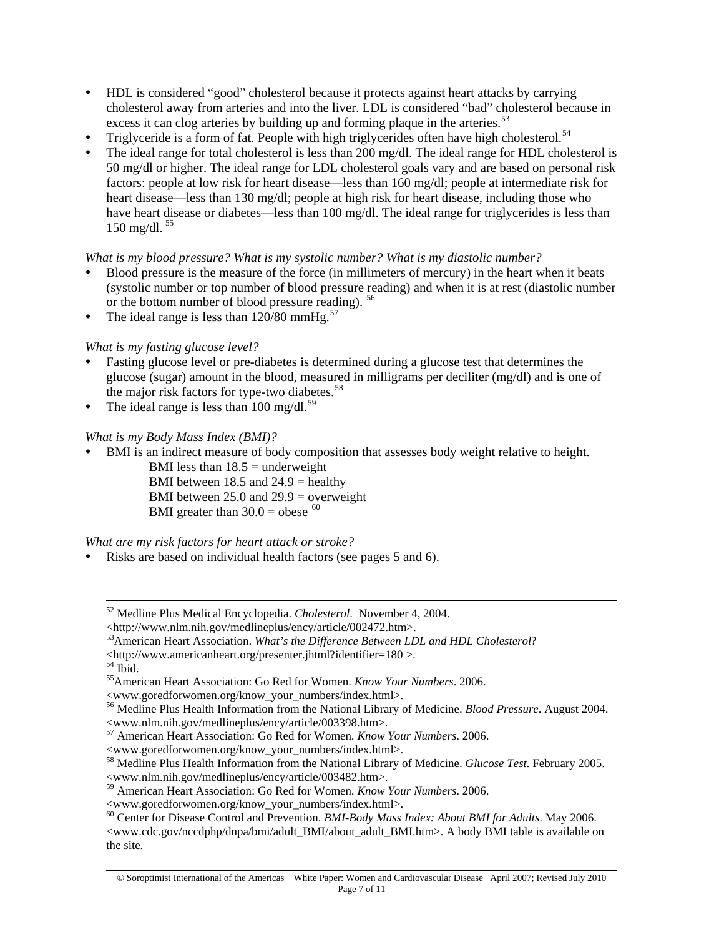- y HDL is considered "good" cholesterol because it protects against heart attacks by carrying cholesterol away from arteries and into the liver. LDL is considered "bad" cholesterol because in excess it can clog arteries by building up and forming plaque in the arteries.<sup>[53](#page-6-0)</sup>
- Triglyceride is a form of fat. People with high triglycerides often have high cholesterol.<sup>[54](#page-6-1)</sup>
- The ideal range for total cholesterol is less than 200 mg/dl. The ideal range for HDL cholesterol is 50 mg/dl or higher. The ideal range for LDL cholesterol goals vary and are based on personal risk factors: people at low risk for heart disease—less than 160 mg/dl; people at intermediate risk for heart disease—less than 130 mg/dl; people at high risk for heart disease, including those who have heart disease or diabetes—less than 100 mg/dl. The ideal range for triglycerides is less than 150 mg/dl.  $55$

## *What is my blood pressure? What is my systolic number? What is my diastolic number?*

- Blood pressure is the measure of the force (in millimeters of mercury) in the heart when it beats (systolic number or top number of blood pressure reading) and when it is at rest (diastolic number or the bottom number of blood pressure reading). [56](#page-6-3)
- The ideal range is less than  $120/80$  mmHg.<sup>[57](#page-6-4)</sup>

# *What is my fasting glucose level?*

- y Fasting glucose level or pre-diabetes is determined during a glucose test that determines the glucose (sugar) amount in the blood, measured in milligrams per deciliter (mg/dl) and is one of the major risk factors for type-two diabetes.<sup>[58](#page-6-5)</sup>
- The ideal range is less than  $100 \text{ mg/dl}$ .<sup>[59](#page-6-6)</sup>

## *What is my Body Mass Index (BMI)?*

BMI is an indirect measure of body composition that assesses body weight relative to height.

BMI less than  $18.5$  = underweight BMI between  $18.5$  and  $24.9$  = healthy BMI between  $25.0$  and  $29.9$  = overweight BMI greater than  $30.0 =$  obese  $^{60}$  $^{60}$  $^{60}$ 

*What are my risk factors for heart attack or stroke?* 

Risks are based on individual health factors (see pages 5 and 6).

<span id="page-6-6"></span>59 American Heart Association: Go Red for Women. *Know Your Numbers*. 2006.

 <sup>52</sup> Medline Plus Medical Encyclopedia. *Cholesterol*. November 4, 2004.

<sup>&</sup>lt;http://www.nlm.nih.gov/medlineplus/ency/article/002472.htm>.

<span id="page-6-0"></span><sup>53</sup>American Heart Association. *What's the Difference Between LDL and HDL Cholesterol*?

<span id="page-6-1"></span> $\langle$ http://www.americanheart.org/presenter.jhtml?identifier=180  $>$  54 Ibid.

<span id="page-6-2"></span><sup>55</sup>American Heart Association: Go Red for Women. *Know Your Numbers*. 2006.

<sup>&</sup>lt;www.goredforwomen.org/know\_your\_numbers/index.html>.

<span id="page-6-3"></span><sup>56</sup> Medline Plus Health Information from the National Library of Medicine. *Blood Pressure*. August 2004. <www.nlm.nih.gov/medlineplus/ency/article/003398.htm>.

<span id="page-6-4"></span><sup>57</sup> American Heart Association: Go Red for Women. *Know Your Numbers*. 2006.

<sup>&</sup>lt;www.goredforwomen.org/know\_your\_numbers/index.html>.

<span id="page-6-5"></span><sup>58</sup> Medline Plus Health Information from the National Library of Medicine. *Glucose Test.* February 2005. <www.nlm.nih.gov/medlineplus/ency/article/003482.htm>.

<sup>&</sup>lt;www.goredforwomen.org/know\_your\_numbers/index.html>.

<span id="page-6-7"></span><sup>60</sup> Center for Disease Control and Prevention. *BMI-Body Mass Index: About BMI for Adults*. May 2006. <www.cdc.gov/nccdphp/dnpa/bmi/adult\_BMI/about\_adult\_BMI.htm>. A body BMI table is available on the site.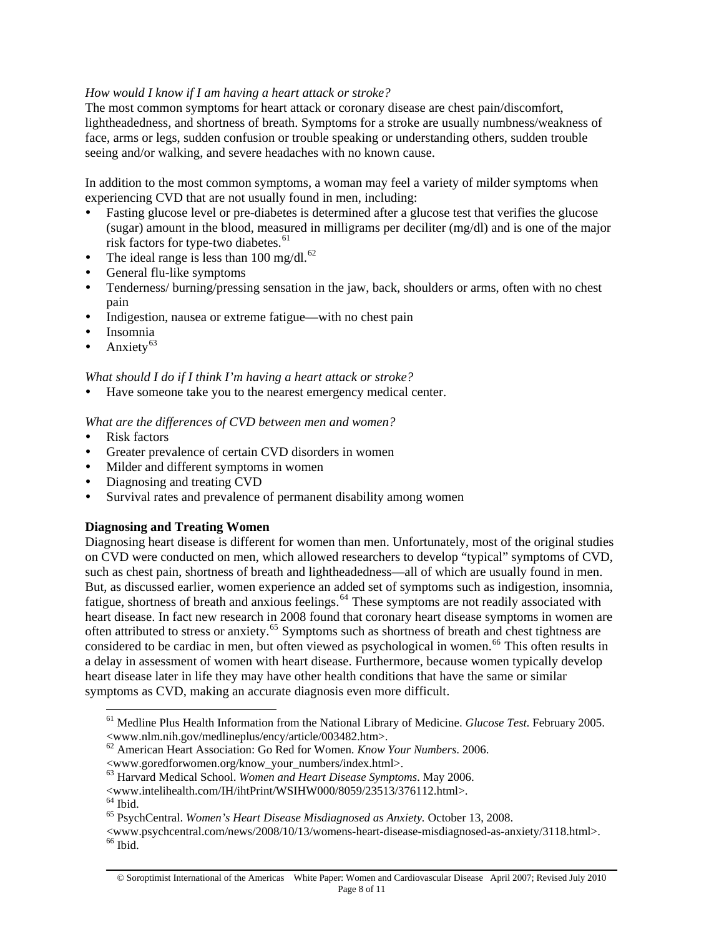## *How would I know if I am having a heart attack or stroke?*

The most common symptoms for heart attack or coronary disease are chest pain/discomfort, lightheadedness, and shortness of breath. Symptoms for a stroke are usually numbness/weakness of face, arms or legs, sudden confusion or trouble speaking or understanding others, sudden trouble seeing and/or walking, and severe headaches with no known cause.

In addition to the most common symptoms, a woman may feel a variety of milder symptoms when experiencing CVD that are not usually found in men, including:

- Fasting glucose level or pre-diabetes is determined after a glucose test that verifies the glucose (sugar) amount in the blood, measured in milligrams per deciliter (mg/dl) and is one of the major risk factors for type-two diabetes. $61$
- The ideal range is less than  $100 \text{ mg/dl}$ .<sup>[62](#page-7-1)</sup>
- General flu-like symptoms
- Tenderness/ burning/pressing sensation in the jaw, back, shoulders or arms, often with no chest pain
- Indigestion, nausea or extreme fatigue—with no chest pain
- Insomnia
- Anxiety $63$

### *What should I do if I think I'm having a heart attack or stroke?*

Have someone take you to the nearest emergency medical center.

*What are the differences of CVD between men and women?* 

- Risk factors
- Greater prevalence of certain CVD disorders in women
- Milder and different symptoms in women
- Diagnosing and treating CVD
- Survival rates and prevalence of permanent disability among women

### **Diagnosing and Treating Women**

Diagnosing heart disease is different for women than men. Unfortunately, most of the original studies on CVD were conducted on men, which allowed researchers to develop "typical" symptoms of CVD, such as chest pain, shortness of breath and lightheadedness—all of which are usually found in men. But, as discussed earlier, women experience an added set of symptoms such as indigestion, insomnia, fatigue, shortness of breath and anxious feelings.<sup>[64](#page-7-3)</sup> These symptoms are not readily associated with heart disease. In fact new research in 2008 found that coronary heart disease symptoms in women are often attributed to stress or anxiety.[65](#page-7-4) Symptoms such as shortness of breath and chest tightness are considered to be cardiac in men, but often viewed as psychological in women.<sup>[66](#page-7-5)</sup> This often results in a delay in assessment of women with heart disease. Furthermore, because women typically develop heart disease later in life they may have other health conditions that have the same or similar symptoms as CVD, making an accurate diagnosis even more difficult.

 $\overline{a}$ 

<span id="page-7-0"></span><sup>61</sup> Medline Plus Health Information from the National Library of Medicine. *Glucose Test.* February 2005. <www.nlm.nih.gov/medlineplus/ency/article/003482.htm>.

<span id="page-7-1"></span><sup>62</sup> American Heart Association: Go Red for Women. *Know Your Numbers*. 2006.

<sup>&</sup>lt;www.goredforwomen.org/know\_your\_numbers/index.html>.

<span id="page-7-2"></span><sup>63</sup> Harvard Medical School. *Women and Heart Disease Symptoms*. May 2006.

<sup>&</sup>lt;www.intelihealth.com/IH/ihtPrint/WSIHW000/8059/23513/376112.html>.

 $^{64}$  Ibid.

<sup>65</sup> PsychCentral. *Women's Heart Disease Misdiagnosed as Anxiety.* October 13, 2008.

<span id="page-7-5"></span><span id="page-7-4"></span><span id="page-7-3"></span><sup>&</sup>lt;www.psychcentral.com/news/2008/10/13/womens-heart-disease-misdiagnosed-as-anxiety/3118.html>.  $66$  Ibid.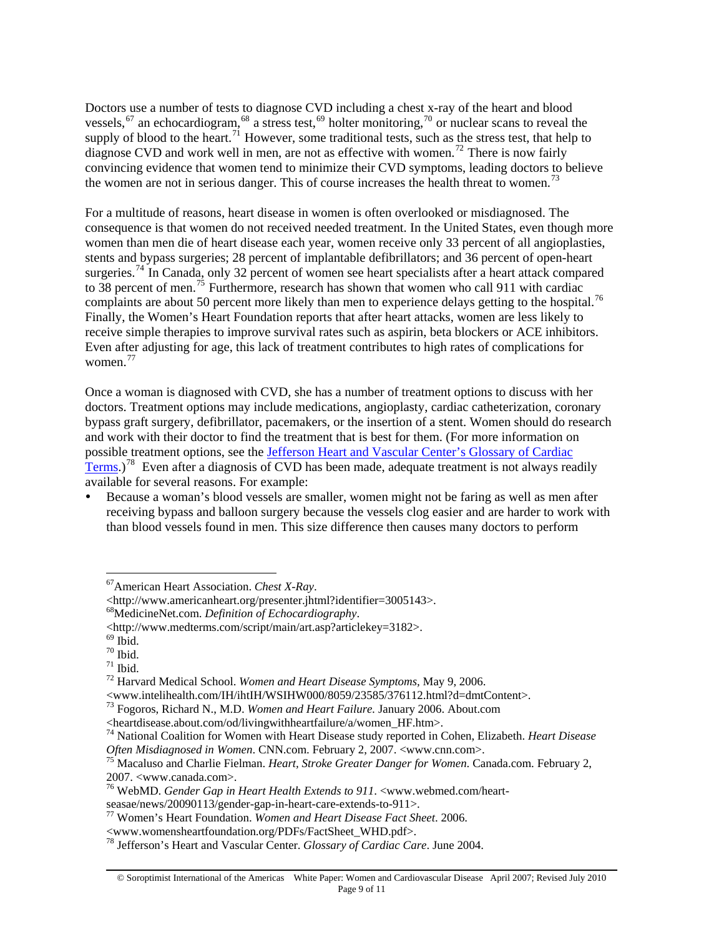Doctors use a number of tests to diagnose CVD including a chest x-ray of the heart and blood vessels,<sup>[67](#page-8-0)</sup> an echocardiogram,<sup>[68](#page-8-1)</sup> a stress test,<sup>[69](#page-8-2)</sup> holter monitoring,<sup>[70](#page-8-3)</sup> or nuclear scans to reveal the supply of blood to the heart.<sup>[71](#page-8-4)</sup> However, some traditional tests, such as the stress test, that help to diagnose CVD and work well in men, are not as effective with women.<sup>[72](#page-8-5)</sup> There is now fairly convincing evidence that women tend to minimize their CVD symptoms, leading doctors to believe the women are not in serious danger. This of course increases the health threat to women.<sup>[73](#page-8-6)</sup>

For a multitude of reasons, heart disease in women is often overlooked or misdiagnosed. The consequence is that women do not received needed treatment. In the United States, even though more women than men die of heart disease each year, women receive only 33 percent of all angioplasties, stents and bypass surgeries; 28 percent of implantable defibrillators; and 36 percent of open-heart surgeries.<sup>[74](#page-8-7)</sup> In Canada, only 32 percent of women see heart specialists after a heart attack compared to 38 percent of men.<sup>[75](#page-8-8)</sup> Furthermore, research has shown that women who call 911 with cardiac complaints are about 50 percent more likely than men to experience delays getting to the hospital.<sup>[76](#page-8-9)</sup> Finally, the Women's Heart Foundation reports that after heart attacks, women are less likely to receive simple therapies to improve survival rates such as aspirin, beta blockers or ACE inhibitors. Even after adjusting for age, this lack of treatment contributes to high rates of complications for women.[77](#page-8-10)

Once a woman is diagnosed with CVD, she has a number of treatment options to discuss with her doctors. Treatment options may include medications, angioplasty, cardiac catheterization, coronary bypass graft surgery, defibrillator, pacemakers, or the insertion of a stent. Women should do research and work with their doctor to find the treatment that is best for them. (For more information on possible treatment options, see the [Jefferson Heart and Vascular Center's Glossary of Cardiac](http://www.jeffersonhospital.org/sitecore/content/Settings/Learn%20More/Patient%20Resources/cardiac-care-glossary.aspx)  [Terms](http://www.jeffersonhospital.org/sitecore/content/Settings/Learn%20More/Patient%20Resources/cardiac-care-glossary.aspx).)<sup>[78](#page-8-11)</sup> Even after a diagnosis of CVD has been made, adequate treatment is not always readily available for several reasons. For example:

Because a woman's blood vessels are smaller, women might not be faring as well as men after receiving bypass and balloon surgery because the vessels clog easier and are harder to work with than blood vessels found in men. This size difference then causes many doctors to perform

 $\overline{a}$ 

<span id="page-8-0"></span><sup>67</sup>American Heart Association. *Chest X-Ray*.

<span id="page-8-1"></span><sup>&</sup>lt;http://www.americanheart.org/presenter.jhtml?identifier=3005143>. 68MedicineNet.com. *Definition of Echocardiography*.

<sup>&</sup>lt;http://www.medterms.com/script/main/art.asp?articlekey=3182>.

<span id="page-8-2"></span> $69$  Ibid.

<span id="page-8-3"></span> $70$  Ibid.

 $71$  Ibid.

<span id="page-8-5"></span><span id="page-8-4"></span><sup>72</sup> Harvard Medical School. *Women and Heart Disease Symptoms,* May 9, 2006.

<span id="page-8-6"></span><sup>&</sup>lt;sup>73</sup> Fogoros, Richard N., M.D. *Women and Heart Failure*. January 2006. About.com<br>
<heartdisease.about.com/od/livingwithheartfailure/a/women HF.htm>.

<span id="page-8-7"></span><sup>&</sup>lt;sup>74</sup> National Coalition for Women with Heart Disease study reported in Cohen, Elizabeth. *Heart Disease Often Misdiagnosed in Women*. CNN.com. February 2, 2007. <www.cnn.com>.

<span id="page-8-8"></span>*Macaluso and Charlie Fielman. Heart, Stroke Greater Danger for Women. Canada.com. February 2,* 2007. <www.canada.com>.

<span id="page-8-9"></span><sup>76</sup> WebMD. *Gender Gap in Heart Health Extends to 911*. <www.webmed.com/heart-

seasae/news/20090113/gender-gap-in-heart-care-extends-to-911>. 77 Women's Heart Foundation. *Women and Heart Disease Fact Sheet*. 2006.

<span id="page-8-11"></span><span id="page-8-10"></span><sup>&</sup>lt;www.womensheartfoundation.org/PDFs/FactSheet\_WHD.pdf>. 78 Jefferson's Heart and Vascular Center. *Glossary of Cardiac Care*. June 2004.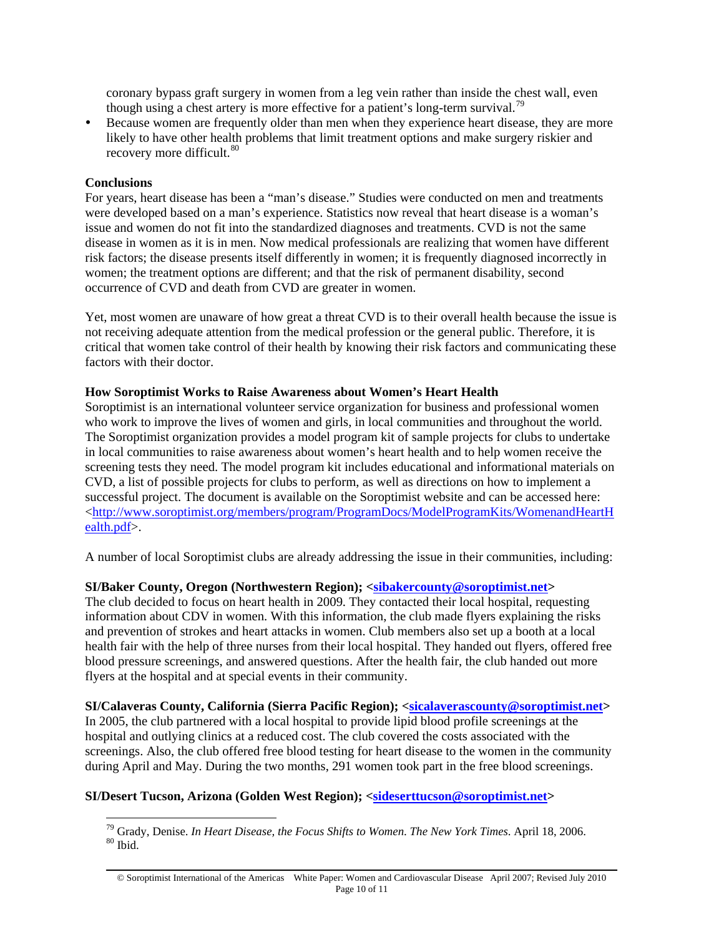coronary bypass graft surgery in women from a leg vein rather than inside the chest wall, even though using a chest artery is more effective for a patient's long-term survival.<sup>79</sup>

Because women are frequently older than men when they experience heart disease, they are more likely to have other health problems that limit treatment options and make surgery riskier and recovery more difficult.<sup>[80](#page-9-0)</sup>

### **Conclusions**

 $\overline{a}$ 

For years, heart disease has been a "man's disease." Studies were conducted on men and treatments were developed based on a man's experience. Statistics now reveal that heart disease is a woman's issue and women do not fit into the standardized diagnoses and treatments. CVD is not the same disease in women as it is in men. Now medical professionals are realizing that women have different risk factors; the disease presents itself differently in women; it is frequently diagnosed incorrectly in women; the treatment options are different; and that the risk of permanent disability, second occurrence of CVD and death from CVD are greater in women.

Yet, most women are unaware of how great a threat CVD is to their overall health because the issue is not receiving adequate attention from the medical profession or the general public. Therefore, it is critical that women take control of their health by knowing their risk factors and communicating these factors with their doctor.

#### **How Soroptimist Works to Raise Awareness about Women's Heart Health**

Soroptimist is an international volunteer service organization for business and professional women who work to improve the lives of women and girls, in local communities and throughout the world. The Soroptimist organization provides a model program kit of sample projects for clubs to undertake in local communities to raise awareness about women's heart health and to help women receive the screening tests they need. The model program kit includes educational and informational materials on CVD, a list of possible projects for clubs to perform, as well as directions on how to implement a successful project. The document is available on the Soroptimist website and can be accessed here: [<http://www.soroptimist.org/members/program/ProgramDocs/ModelProgramKits/WomenandHeartH](http://www.soroptimist.org/members/program/ProgramDocs/ModelProgramKits/WomenandHeartHealth.pdf) [ealth.pdf>](http://www.soroptimist.org/members/program/ProgramDocs/ModelProgramKits/WomenandHeartHealth.pdf).

A number of local Soroptimist clubs are already addressing the issue in their communities, including:

### **SI/Baker County, Oregon (Northwestern Region); <[sibakercounty@soroptimist.net](mailto:sibakercounty@soroptimist.net)>**

The club decided to focus on heart health in 2009. They contacted their local hospital, requesting information about CDV in women. With this information, the club made flyers explaining the risks and prevention of strokes and heart attacks in women. Club members also set up a booth at a local health fair with the help of three nurses from their local hospital. They handed out flyers, offered free blood pressure screenings, and answered questions. After the health fair, the club handed out more flyers at the hospital and at special events in their community.

**SI/Calaveras County, California (Sierra Pacific Region); [<sicalaverascounty@soroptimist.net](mailto:sicalaverascounty@soroptimist.net)>**  In 2005, the club partnered with a local hospital to provide lipid blood profile screenings at the hospital and outlying clinics at a reduced cost. The club covered the costs associated with the screenings. Also, the club offered free blood testing for heart disease to the women in the community during April and May. During the two months, 291 women took part in the free blood screenings.

#### <span id="page-9-0"></span>**SI/Desert Tucson, Arizona (Golden West Region); <[sideserttucson@soroptimist.net](mailto:sideserttucson@soroptimist.net)>**

<sup>&</sup>lt;sup>79</sup> Grady, Denise. *In Heart Disease, the Focus Shifts to Women. The New York Times.* April 18, 2006. <sup>80</sup> Ibid

<sup>©</sup> Soroptimist International of the Americas White Paper: Women and Cardiovascular Disease April 2007; Revised July 2010 Page 10 of 11